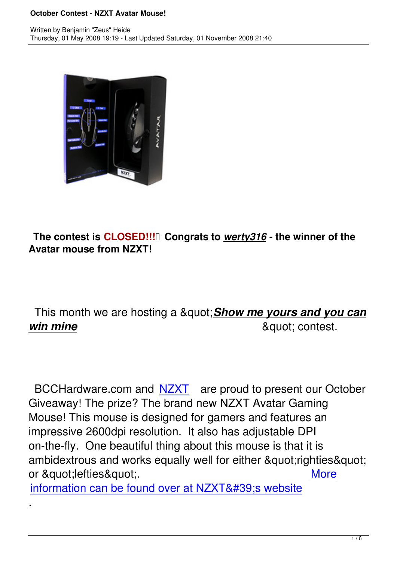

## **The contest is CLOSED!!! Congrats to** *werty316* **- the winner of the Avatar mouse from NZXT!**

## This month we are hosting a " **Show me yours and you can** *win mine* " contest.

BCCHardware.com and NZXT are proud to present our October Giveaway! The prize? The brand new NZXT Avatar Gaming Mouse! This mouse is de[signed](http://www.nzxt.com) for gamers and features an impressive 2600dpi resolution. It also has adjustable DPI on-the-fly. One beautiful thing about this mouse is that it is ambidextrous and works equally well for either "righties" or "lefties". The contract of the contract of the contract of the contract of the contract of the contract of the contract of the contract of the contract of the contract of the contract of the contract of the co

information can be found over at NZXT' s website

.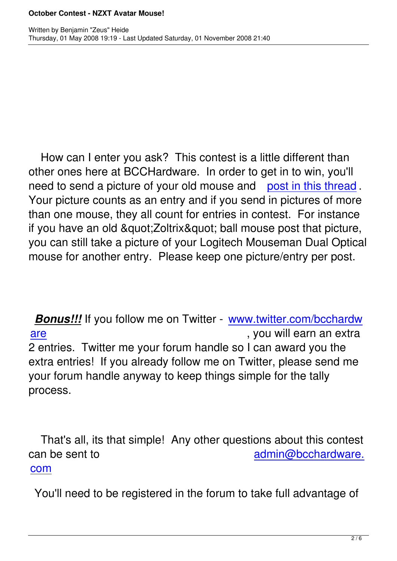How can I enter you ask? This contest is a little different than other ones here at BCCHardware. In order to get in to win, you'll need to send a picture of your old mouse and post in this thread. Your picture counts as an entry and if you send in pictures of more than one mouse, they all count for entries in co[ntest. For instance](index.php?option=com_smf&Itemid=61&topic=2188) if you have an old & guot; Zoltrix & guot; ball mouse post that picture, you can still take a picture of your Logitech Mouseman Dual Optical mouse for another entry. Please keep one picture/entry per post.

*Bonus!!!* If you follow me on Twitter - www.twitter.com/bcchardw are **are the contract of the contract of the contract of the contract of the contract of the contract of the contract of the contract of the contract of the contract of the contract of the contract of the contract of the c** 2 entries. Twitter me your forum handl[e so I can award you the](http://twitter.com/bcchardware) [extr](http://twitter.com/bcchardware)a entries! If you already follow me on Twitter, please send me your forum handle anyway to keep things simple for the tally process.

 That's all, its that simple! Any other questions about this contest can be sent to admin@bcchardware. **com** and the company of the company of the company of the company of the company of the company of the company

[You](mailto:admin@bcchardware.com)'ll need to be registered in the forum to t[ake full advantage of](mailto:admin@bcchardware.com)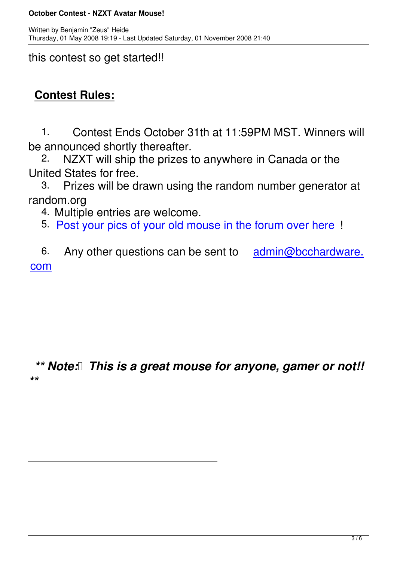this contest so get started!!

# **Contest Rules:**

 1. Contest Ends October 31th at 11:59PM MST. Winners will be announced shortly thereafter.<br>2. NZXT will ship the prizes to

NZXT will ship the prizes to anywhere in Canada or the United States for free.

 3. Prizes will be drawn using the random number generator at random.org

4. Multiple entries are welcome.

5. Post your pics of your old mouse in the forum over here !

6. [Any other questions can be sent to admin@bcchard](index.php?option=com_smf&Itemid=61&topic=2188)ware. **com** and the company of the company of the company of the company of the company of the company of the company

### *\*\* Note: This is a great mouse for anyone, gamer or not!! \*\**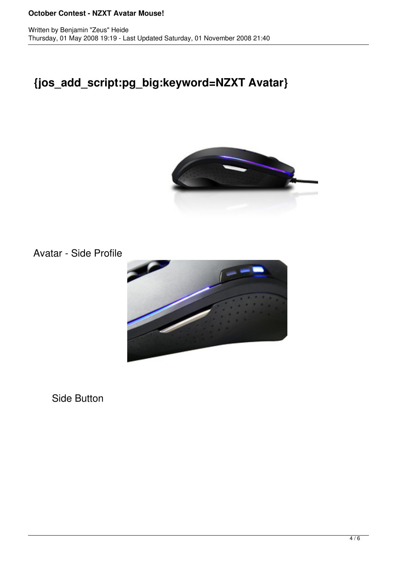#### **October Contest - NZXT Avatar Mouse!**

## **{jos\_add\_script:pg\_big:keyword=NZXT Avatar}**



Avatar - Side Profile



Side Button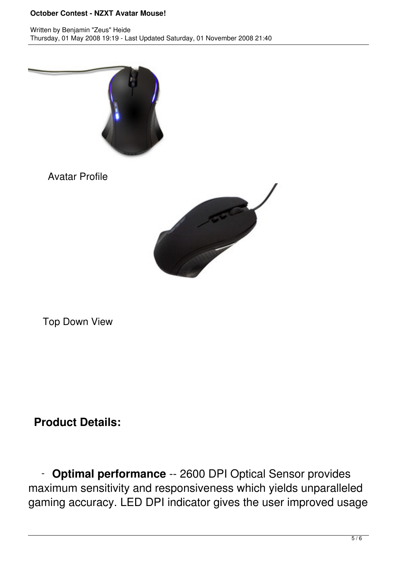### **October Contest - NZXT Avatar Mouse!**



Avatar Profile



Top Down View

## **Product Details:**

 - **Optimal performance** -- 2600 DPI Optical Sensor provides maximum sensitivity and responsiveness which yields unparalleled gaming accuracy. LED DPI indicator gives the user improved usage